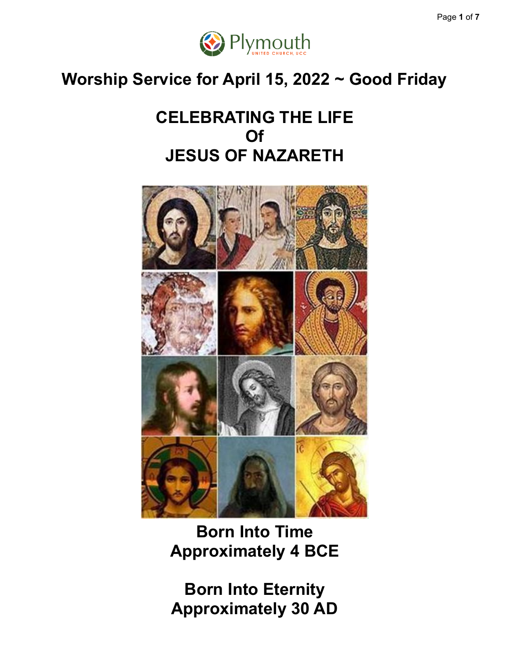

### **Worship Service for April 15, 2022 ~ Good Friday**

### **CELEBRATING THE LIFE Of JESUS OF NAZARETH**



**Born Into Time Approximately 4 BCE**

**Born Into Eternity Approximately 30 AD**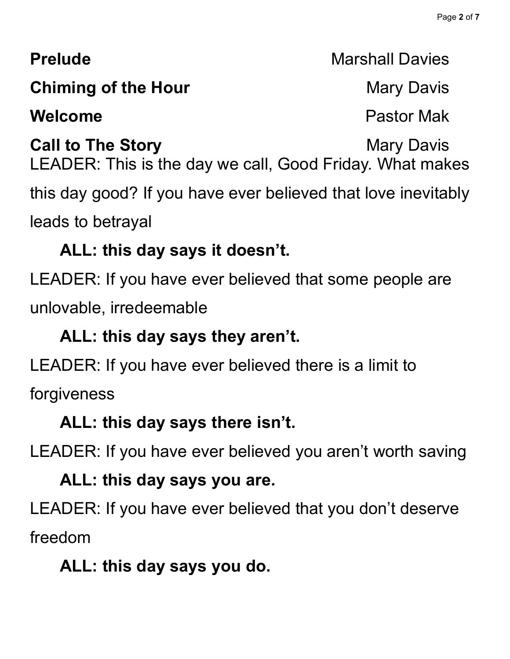### **Prelude** Marshall Davies

### **Chiming of the Hour** Mary Davis

### **Welcome** Pastor Mak

**Call to The Story Mary Davis Mary Davis** LEADER: This is the day we call, Good Friday. What makes this day good? If you have ever believed that love inevitably leads to betrayal

### **ALL: this day says it doesn't.**

LEADER: If you have ever believed that some people are unlovable, irredeemable

### **ALL: this day says they aren't.**

LEADER: If you have ever believed there is a limit to forgiveness

### **ALL: this day says there isn't.**

LEADER: If you have ever believed you aren't worth saving

### **ALL: this day says you are.**

LEADER: If you have ever believed that you don't deserve freedom

### **ALL: this day says you do.**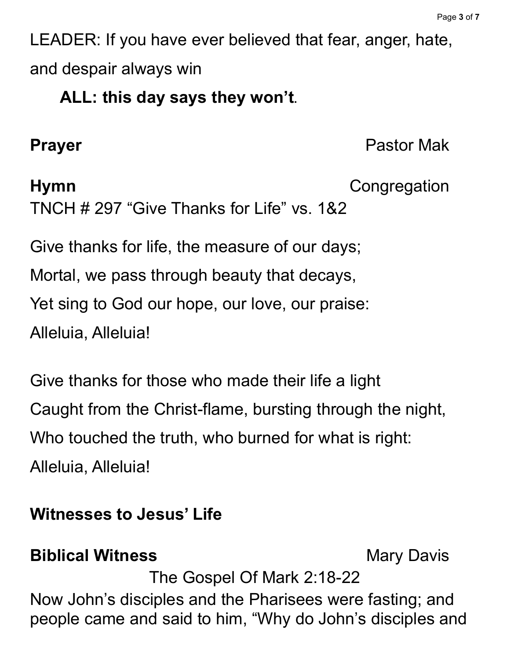LEADER: If you have ever believed that fear, anger, hate, and despair always win

### **ALL: this day says they won't.**

**Prayer** Pastor Mak

### **Hymn** Congregation TNCH # 297 "Give Thanks for Life" vs. 1&2

Give thanks for life, the measure of our days; Mortal, we pass through beauty that decays, Yet sing to God our hope, our love, our praise: Alleluia, Alleluia!

Give thanks for those who made their life a light Caught from the Christ-flame, bursting through the night, Who touched the truth, who burned for what is right: Alleluia, Alleluia!

### **Witnesses to Jesus' Life**

### **Biblical Witness** Mary Davis

The Gospel Of Mark 2:18-22

Now John's disciples and the Pharisees were fasting; and people came and said to him, "Why do John's disciples and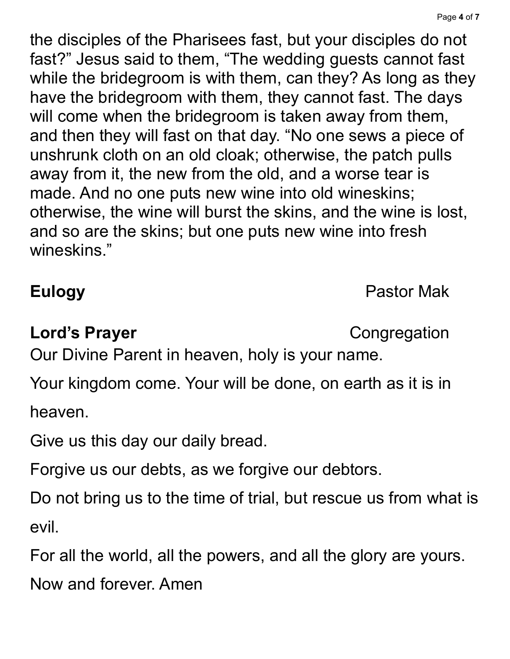the disciples of the Pharisees fast, but your disciples do not fast?" Jesus said to them, "The wedding guests cannot fast while the bridegroom is with them, can they? As long as they have the bridegroom with them, they cannot fast. The days will come when the bridegroom is taken away from them, and then they will fast on that day. "No one sews a piece of unshrunk cloth on an old cloak; otherwise, the patch pulls away from it, the new from the old, and a worse tear is made. And no one puts new wine into old wineskins; otherwise, the wine will burst the skins, and the wine is lost, and so are the skins; but one puts new wine into fresh wineskins."

**Eulogy** Pastor Mak

### **Lord's Prayer** Congregation

Our Divine Parent in heaven, holy is your name.

Your kingdom come. Your will be done, on earth as it is in heaven.

Give us this day our daily bread.

Forgive us our debts, as we forgive our debtors.

Do not bring us to the time of trial, but rescue us from what is evil.

For all the world, all the powers, and all the glory are yours.

Now and forever. Amen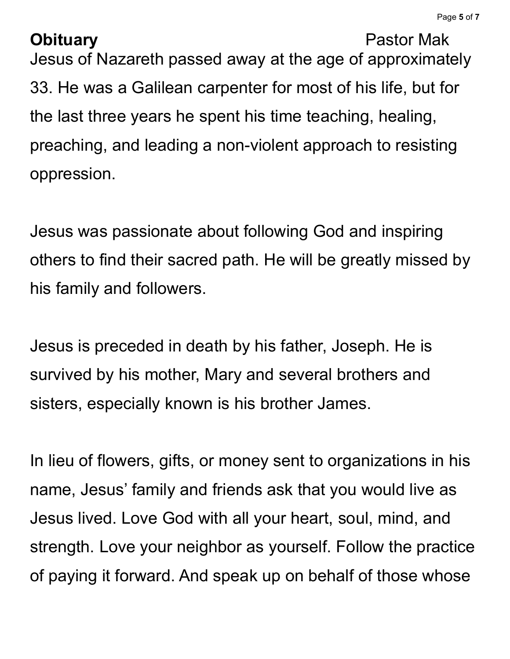### **Obituary** Pastor Mak

Jesus of Nazareth passed away at the age of approximately 33. He was a Galilean carpenter for most of his life, but for the last three years he spent his time teaching, healing, preaching, and leading a non-violent approach to resisting oppression.

Jesus was passionate about following God and inspiring others to find their sacred path. He will be greatly missed by his family and followers.

Jesus is preceded in death by his father, Joseph. He is survived by his mother, Mary and several brothers and sisters, especially known is his brother James.

In lieu of flowers, gifts, or money sent to organizations in his name, Jesus' family and friends ask that you would live as Jesus lived. Love God with all your heart, soul, mind, and strength. Love your neighbor as yourself. Follow the practice of paying it forward. And speak up on behalf of those whose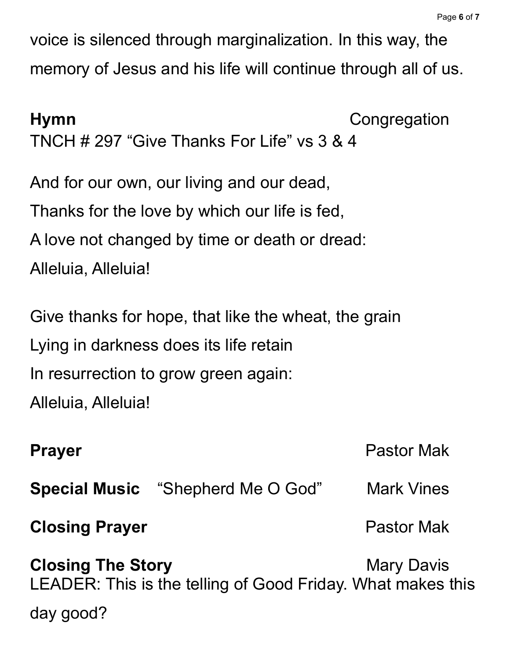voice is silenced through marginalization. In this way, the memory of Jesus and his life will continue through all of us.

**Hymn** Congregation TNCH # 297 "Give Thanks For Life" vs 3 & 4 And for our own, our living and our dead, Thanks for the love by which our life is fed, A love not changed by time or death or dread: Alleluia, Alleluia! Give thanks for hope, that like the wheat, the grain Lying in darkness does its life retain In resurrection to grow green again: Alleluia, Alleluia! **Prayer** Pastor Mak **Special Music** "Shepherd Me O God" Mark Vines **Closing Prayer Pastor Mak Closing The Story Mary Davis Mary Davis** LEADER: This is the telling of Good Friday. What makes this day good?